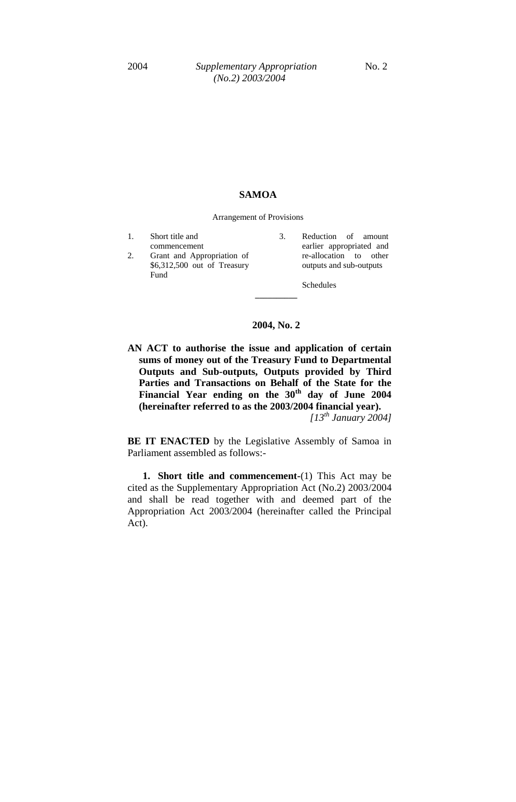## **SAMOA**

Arrangement of Provisions

- 1. Short title and commencement 2. Grant and Appropriation of \$6,312,500 out of Treasury Fund
- 3. Reduction of amount earlier appropriated and re-allocation to other outputs and sub-outputs

Schedules

## **2004, No. 2**

**\_\_\_\_\_\_\_\_\_\_**

**AN ACT to authorise the issue and application of certain sums of money out of the Treasury Fund to Departmental Outputs and Sub-outputs, Outputs provided by Third Parties and Transactions on Behalf of the State for the Financial Year ending on the 30th day of June 2004 (hereinafter referred to as the 2003/2004 financial year).** *[13th January 2004]*

**BE IT ENACTED** by the Legislative Assembly of Samoa in Parliament assembled as follows:-

**1. Short title and commencement-**(1) This Act may be cited as the Supplementary Appropriation Act (No.2) 2003/2004 and shall be read together with and deemed part of the Appropriation Act 2003/2004 (hereinafter called the Principal Act).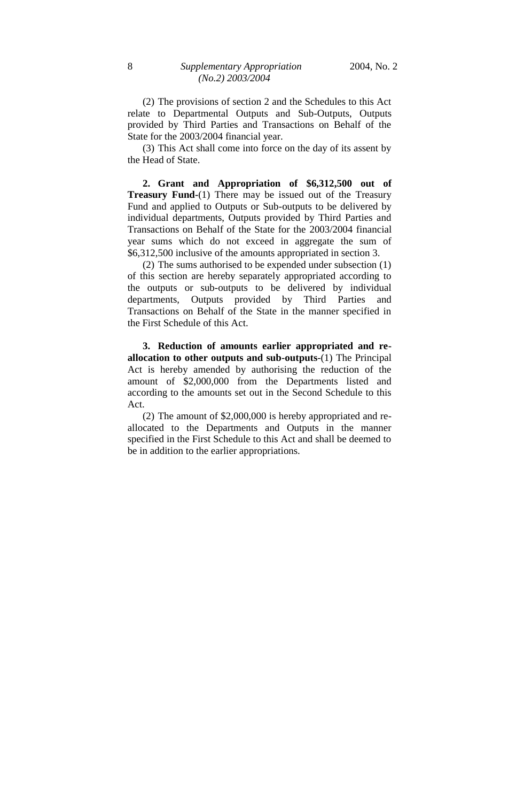(2) The provisions of section 2 and the Schedules to this Act relate to Departmental Outputs and Sub-Outputs, Outputs provided by Third Parties and Transactions on Behalf of the State for the 2003/2004 financial year.

(3) This Act shall come into force on the day of its assent by the Head of State.

**2. Grant and Appropriation of \$6,312,500 out of Treasury Fund-**(1) There may be issued out of the Treasury Fund and applied to Outputs or Sub-outputs to be delivered by individual departments, Outputs provided by Third Parties and Transactions on Behalf of the State for the 2003/2004 financial year sums which do not exceed in aggregate the sum of \$6,312,500 inclusive of the amounts appropriated in section 3.

(2) The sums authorised to be expended under subsection (1) of this section are hereby separately appropriated according to the outputs or sub-outputs to be delivered by individual departments, Outputs provided by Third Parties and Transactions on Behalf of the State in the manner specified in the First Schedule of this Act.

**3. Reduction of amounts earlier appropriated and reallocation to other outputs and sub-outputs**-(1) The Principal Act is hereby amended by authorising the reduction of the amount of \$2,000,000 from the Departments listed and according to the amounts set out in the Second Schedule to this Act.

(2) The amount of \$2,000,000 is hereby appropriated and reallocated to the Departments and Outputs in the manner specified in the First Schedule to this Act and shall be deemed to be in addition to the earlier appropriations.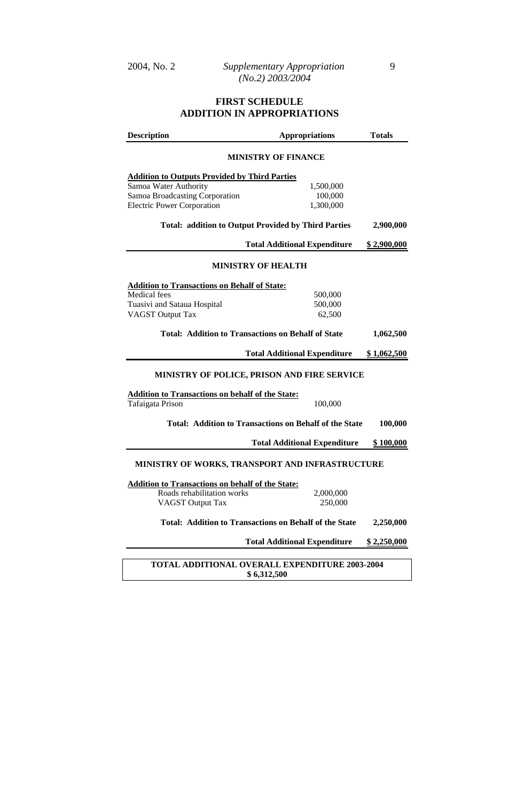## **FIRST SCHEDULE ADDITION IN APPROPRIATIONS**

| <b>Description</b>                                                      | <b>Appropriations</b>                                         | <b>Totals</b>      |  |  |  |  |
|-------------------------------------------------------------------------|---------------------------------------------------------------|--------------------|--|--|--|--|
| <b>MINISTRY OF FINANCE</b>                                              |                                                               |                    |  |  |  |  |
| <b>Addition to Outputs Provided by Third Parties</b>                    |                                                               |                    |  |  |  |  |
| Samoa Water Authority                                                   | 1,500,000                                                     |                    |  |  |  |  |
| Samoa Broadcasting Corporation                                          | 100,000                                                       |                    |  |  |  |  |
| <b>Electric Power Corporation</b>                                       | 1,300,000                                                     |                    |  |  |  |  |
|                                                                         |                                                               |                    |  |  |  |  |
| <b>Total: addition to Output Provided by Third Parties</b><br>2,900,000 |                                                               |                    |  |  |  |  |
|                                                                         | <b>Total Additional Expenditure</b>                           | <u>\$2,900,000</u> |  |  |  |  |
| <b>MINISTRY OF HEALTH</b>                                               |                                                               |                    |  |  |  |  |
|                                                                         |                                                               |                    |  |  |  |  |
| <b>Addition to Transactions on Behalf of State:</b><br>Medical fees     | 500,000                                                       |                    |  |  |  |  |
| Tuasivi and Sataua Hospital                                             | 500,000                                                       |                    |  |  |  |  |
| <b>VAGST Output Tax</b>                                                 | 62,500                                                        |                    |  |  |  |  |
|                                                                         |                                                               |                    |  |  |  |  |
| <b>Total: Addition to Transactions on Behalf of State</b><br>1,062,500  |                                                               |                    |  |  |  |  |
|                                                                         | <b>Total Additional Expenditure</b>                           | \$1,062,500        |  |  |  |  |
| MINISTRY OF POLICE, PRISON AND FIRE SERVICE                             |                                                               |                    |  |  |  |  |
| <b>Addition to Transactions on behalf of the State:</b>                 |                                                               |                    |  |  |  |  |
| Tafaigata Prison                                                        | 100,000                                                       |                    |  |  |  |  |
|                                                                         | Total: Addition to Transactions on Behalf of the State        | 100,000            |  |  |  |  |
|                                                                         | <b>Total Additional Expenditure</b>                           | <u>\$100,000</u>   |  |  |  |  |
|                                                                         |                                                               |                    |  |  |  |  |
| MINISTRY OF WORKS, TRANSPORT AND INFRASTRUCTURE                         |                                                               |                    |  |  |  |  |
| <b>Addition to Transactions on behalf of the State:</b>                 |                                                               |                    |  |  |  |  |
| Roads rehabilitation works                                              | 2,000,000                                                     |                    |  |  |  |  |
| VAGST Output Tax                                                        | 250,000                                                       |                    |  |  |  |  |
|                                                                         | <b>Total: Addition to Transactions on Behalf of the State</b> | 2,250,000          |  |  |  |  |
| <b>Total Additional Expenditure</b>                                     | \$2,250,000                                                   |                    |  |  |  |  |
|                                                                         |                                                               |                    |  |  |  |  |
| <b>TOTAL ADDITIONAL OVERALL EXPENDITURE 2003-2004</b>                   |                                                               |                    |  |  |  |  |
|                                                                         | \$6,312,500                                                   |                    |  |  |  |  |

**\$ 6,312,500**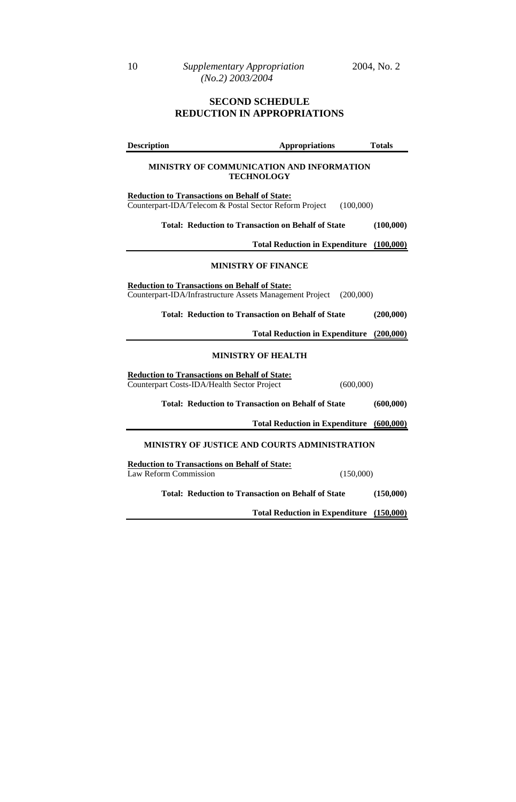## **SECOND SCHEDULE REDUCTION IN APPROPRIATIONS**

| <b>Description</b>                                                                                  | <b>Appropriations</b>                                                 | <b>Totals</b> |  |  |
|-----------------------------------------------------------------------------------------------------|-----------------------------------------------------------------------|---------------|--|--|
| MINISTRY OF COMMUNICATION AND INFORMATION<br><b>TECHNOLOGY</b>                                      |                                                                       |               |  |  |
| <b>Reduction to Transactions on Behalf of State:</b>                                                | Counterpart-IDA/Telecom & Postal Sector Reform Project<br>(100,000)   |               |  |  |
|                                                                                                     | <b>Total: Reduction to Transaction on Behalf of State</b>             | (100,000)     |  |  |
|                                                                                                     | <b>Total Reduction in Expenditure</b>                                 | (100,000)     |  |  |
|                                                                                                     | <b>MINISTRY OF FINANCE</b>                                            |               |  |  |
| <b>Reduction to Transactions on Behalf of State:</b>                                                | Counterpart-IDA/Infrastructure Assets Management Project<br>(200,000) |               |  |  |
|                                                                                                     | <b>Total: Reduction to Transaction on Behalf of State</b>             | (200,000)     |  |  |
|                                                                                                     | <b>Total Reduction in Expenditure</b>                                 | (200,000)     |  |  |
|                                                                                                     | <b>MINISTRY OF HEALTH</b>                                             |               |  |  |
| <b>Reduction to Transactions on Behalf of State:</b><br>Counterpart Costs-IDA/Health Sector Project | (600,000)                                                             |               |  |  |
|                                                                                                     | <b>Total: Reduction to Transaction on Behalf of State</b>             | (600,000)     |  |  |
|                                                                                                     | <b>Total Reduction in Expenditure</b>                                 | (600,000)     |  |  |
|                                                                                                     | MINISTRY OF JUSTICE AND COURTS ADMINISTRATION                         |               |  |  |
| <b>Reduction to Transactions on Behalf of State:</b><br><b>Law Reform Commission</b>                | (150,000)                                                             |               |  |  |
|                                                                                                     | <b>Total: Reduction to Transaction on Behalf of State</b>             | (150,000)     |  |  |
|                                                                                                     | <b>Total Reduction in Expenditure</b>                                 | (150,000)     |  |  |